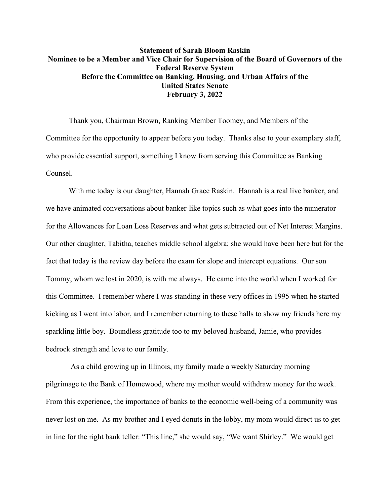## **Statement of Sarah Bloom Raskin Nominee to be a Member and Vice Chair for Supervision of the Board of Governors of the Federal Reserve System Before the Committee on Banking, Housing, and Urban Affairs of the United States Senate February 3, 2022**

Thank you, Chairman Brown, Ranking Member Toomey, and Members of the Committee for the opportunity to appear before you today. Thanks also to your exemplary staff, who provide essential support, something I know from serving this Committee as Banking Counsel.

With me today is our daughter, Hannah Grace Raskin. Hannah is a real live banker, and we have animated conversations about banker-like topics such as what goes into the numerator for the Allowances for Loan Loss Reserves and what gets subtracted out of Net Interest Margins. Our other daughter, Tabitha, teaches middle school algebra; she would have been here but for the fact that today is the review day before the exam for slope and intercept equations. Our son Tommy, whom we lost in 2020, is with me always. He came into the world when I worked for this Committee. I remember where I was standing in these very offices in 1995 when he started kicking as I went into labor, and I remember returning to these halls to show my friends here my sparkling little boy. Boundless gratitude too to my beloved husband, Jamie, who provides bedrock strength and love to our family.

As a child growing up in Illinois, my family made a weekly Saturday morning pilgrimage to the Bank of Homewood, where my mother would withdraw money for the week. From this experience, the importance of banks to the economic well-being of a community was never lost on me. As my brother and I eyed donuts in the lobby, my mom would direct us to get in line for the right bank teller: "This line," she would say, "We want Shirley." We would get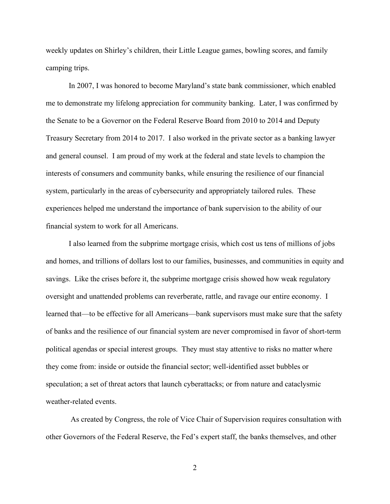weekly updates on Shirley's children, their Little League games, bowling scores, and family camping trips.

In 2007, I was honored to become Maryland's state bank commissioner, which enabled me to demonstrate my lifelong appreciation for community banking. Later, I was confirmed by the Senate to be a Governor on the Federal Reserve Board from 2010 to 2014 and Deputy Treasury Secretary from 2014 to 2017. I also worked in the private sector as a banking lawyer and general counsel. I am proud of my work at the federal and state levels to champion the interests of consumers and community banks, while ensuring the resilience of our financial system, particularly in the areas of cybersecurity and appropriately tailored rules. These experiences helped me understand the importance of bank supervision to the ability of our financial system to work for all Americans.

I also learned from the subprime mortgage crisis, which cost us tens of millions of jobs and homes, and trillions of dollars lost to our families, businesses, and communities in equity and savings. Like the crises before it, the subprime mortgage crisis showed how weak regulatory oversight and unattended problems can reverberate, rattle, and ravage our entire economy. I learned that—to be effective for all Americans—bank supervisors must make sure that the safety of banks and the resilience of our financial system are never compromised in favor of short-term political agendas or special interest groups. They must stay attentive to risks no matter where they come from: inside or outside the financial sector; well-identified asset bubbles or speculation; a set of threat actors that launch cyberattacks; or from nature and cataclysmic weather-related events.

As created by Congress, the role of Vice Chair of Supervision requires consultation with other Governors of the Federal Reserve, the Fed's expert staff, the banks themselves, and other

2